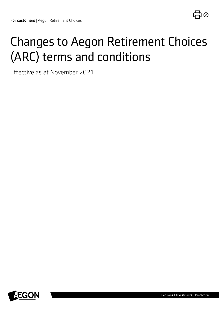# Changes to Aegon Retirement Choices (ARC) terms and conditions

Effective as at November 2021

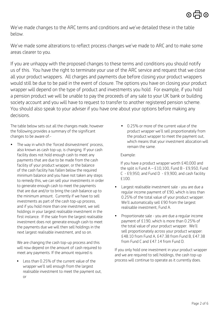We've made changes to the ARC terms and conditions and we've detailed these in the table below.

We've made some alterations to reflect process changes we've made to ARC and to make some areas clearer to you.

If you are unhappy with the proposed changes to these terms and conditions you should notify us of this. You have the right to terminate your use of the ARC service and request that we close all your product wrappers. All charges and payments due before closing your product wrappers would still be due to be paid in the event of closure. The options you have on closing your product wrapper will depend on the type of product and investments you hold. For example, if you hold a pension product we will be unable to pay the proceeds of any sale to your UK bank or building society account and you will have to request to transfer to another registered pension scheme. You should also speak to your adviser if you have one about your options before making any decisions.

The table below sets out all the changes made, however the following provides a summary of the significant changes to be aware of:-

The way in which the 'forced disinvestment' process, also known as cash top-up, is changing. If your cash facility does not hold enough cash to meet any payments that are due to be made from the cash facility of your product wrapper, or the balance of the cash facility has fallen below the required minimum balance and you have not taken any steps to remedy this, we can sell your investments in order to generate enough cash to meet the payments that are due and/or to bring the cash balance up to the minimum amount. Currently if we have to sell investments as part of the cash top-up process, and if you hold more than one investment, we sell holdings in your largest realisable investment in the first instance. If the sale from the largest realisable investment does not generate enough cash to meet the payments due we will then sell holdings in the next largest realisable investment, and so on.

We are changing the cash top-up process and this will now depend on the amount of cash required to meet any payments. If the amount required is:

Less than 0.25% of the current value of the wrapper we'll sell enough from the largest realisable investment to meet the payment out, or

• 0.25% or more of the current value of the product wrapper we'll sell proportionately from the product wrapper to meet the payment out, which means that your investment allocation will remain the same.

#### Example:

If you have a product wrapper worth £40,000 and the split is Fund  $A - £10,100$ , Fund B - £9,950, Fund C - £9,950, and Fund D - £9,900, and cash facility £100.

- Largest realisable investment sale you are due a regular income payment of £90, which is less than 0.25% of the total value of your product wrapper. We'll automatically sell £90 from the largest realisable investment, Fund A.
- Proportionate sale you are due a regular income payment of £190, which is more than 0.25% of the total value of your product wrapper. We'll sell proportionately across your product wrapper: £48.10 from Fund A, £47.38 from Fund B, £47.38 from Fund C and £47.14 from Fund D.

If you only hold one investment in your product wrapper and we are required to sell holdings, the cash top-up process will continue to operate as it currently does.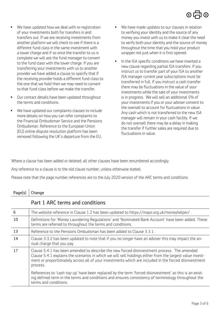- We have updated how we deal with re-registration of your investments both for transfers in and transfers out. If we are receiving investments from another platform we will check to see if there is a different fund class in the same investment with a lower charge and if so once the transfer to us is complete we will ask the fund manager to convert to the fund class with the lower charge. If you are transferring your investments with us to another provider we have added a clause to specify that if the receiving provider holds a different fund class to the one that we hold then we may need to convert to that fund class before we make the transfer.
- Our contact details have been updated throughout the terms and conditions.
- We have updated our complaints clauses to include more details on how you can refer complaints to the Financial Ombudsman Service and the Pensions Ombudsman. Reference to the European Union (EU) online dispute resolution platform has been removed following the UK's departure from the EU.
- We have made updates to our clauses in relation to verifying your identity and the source of any money you invest with us to make it clear the need to verify both your identity and the source of money throughout the time that you hold your product wrapper not just when it is first opened.
- In the ISA specific conditions we have inserted a new clause regarding partial ISA transfers. If you instruct us to transfer part of your ISA to another ISA manager current year subscriptions must be transferred in full. If you instruct a cash transfer there may be fluctuations in the value of your investments while the sale of your investments is in progress. We will sell an additional 5% of your investments if you or your adviser consent to the oversell to account for fluctuations in value. Any cash which is not transferred to the new ISA manager will remain in your cash facility. If we do not oversell there may be a delay in making the transfer if further sales are required due to fluctuations in value.

Where a clause has been added or deleted, all other clauses have been renumbered accordingly.

Any reference to a clause is to the old clause number, unless otherwise stated.

Please note that the page number references are to the July 2020 version of the ARC terms and conditions.

### Page(s)  $|$  Change

|    | Part 1 ARC terms and conditions                                                                                                                                                                                                                                                                                              |
|----|------------------------------------------------------------------------------------------------------------------------------------------------------------------------------------------------------------------------------------------------------------------------------------------------------------------------------|
| 6  | The website reference in Clause 1.2 has been updated to https://maps.org.uk/moneyhelper/.                                                                                                                                                                                                                                    |
| 10 | Definitions for 'Money Laundering Regulations' and 'Nominated Bank Account' have been added. These<br>terms are referred to throughout the terms and conditions.                                                                                                                                                             |
| 13 | Reference to the Pensions Ombudsman has been added to Clause 3.3.1.                                                                                                                                                                                                                                                          |
| 14 | Clause 3.3.2 has been updated to note that if you no longer have an adviser this may impact the an-<br>nual charge that you pay.                                                                                                                                                                                             |
| 17 | Clause 5.4.1 has been amended to describe the new forced disinvestment process. The amended<br>Clause 5.4.1 explains the scenarios in which we will sell holdings either from the largest value invest-<br>ment or proportionately across all of your investments which are included in the forced disinvestment<br>process. |
|    | References to 'cash top up' have been replaced by the term 'forced disinvestment' as this is an exist-<br>ing defined term in the terms and conditions and ensures consistency of terminology throughout the<br>terms and conditions.                                                                                        |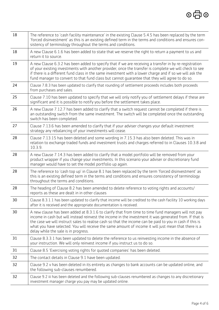| 18 | The reference to 'cash facility maintenance' in the existing Clause 5.4.5 has been replaced by the term<br>'forced disinvestment' as this is an existing defined term in the terms and conditions and ensures con-<br>sistency of terminology throughout the terms and conditions.                                                                                                                                                                                         |
|----|----------------------------------------------------------------------------------------------------------------------------------------------------------------------------------------------------------------------------------------------------------------------------------------------------------------------------------------------------------------------------------------------------------------------------------------------------------------------------|
| 18 | A new Clause 6.1.6 has been added to state that we reserve the right to return a payment to us and<br>return it to source.                                                                                                                                                                                                                                                                                                                                                 |
| 19 | A new Clause 6.3.2 has been added to specify that if we are receiving a transfer in by re-registration<br>of your existing investments with another provider, once the transfer is complete we will check to see<br>if there is a different fund class in the same investment with a lower charge and if so we will ask the<br>fund manager to convert to that fund class but cannot quarantee that they will agree to do so.                                              |
| 24 | Clause 7.8.3 has been updated to clarify that rounding of settlement proceeds includes both proceeds<br>from purchases and sales.                                                                                                                                                                                                                                                                                                                                          |
| 25 | Clause 7.10 has been updated to specify that we will only notify you of settlement delays if these are<br>significant and it is possible to notify you before the settlement takes place.                                                                                                                                                                                                                                                                                  |
| 26 | A new Clause 7.12.7 has been added to clarify that a switch request cannot be completed if there is<br>an outstanding switch from the same investment. The switch will be completed once the outstanding<br>switch has been completed.                                                                                                                                                                                                                                     |
| 27 | Clause 7.13.6 has been amended to clarify that if your adviser changes your default investment<br>strategy any rebalancing of your investments will cease.                                                                                                                                                                                                                                                                                                                 |
| 28 | Clause 7.13.15 has been deleted and some wording in 7.15.3 has also been deleted. This was in<br>relation to exchange traded funds and investment trusts and charges referred to in Clauses 10.3.8 and<br>10.3.9.                                                                                                                                                                                                                                                          |
| 28 | A new Clause 7.14.3 has been added to clarify that a model portfolio will be removed from your<br>product wrapper if you change your investments. In this scenario your adviser or discretionary fund<br>manager would have to set the model portfolio up again.                                                                                                                                                                                                           |
| 28 | The reference to 'cash top up' in Clause 8.1 has been replaced by the term 'forced disinvestment' as<br>this is an existing defined term in the terms and conditions and ensures consistency of terminology<br>throughout the terms and conditions.                                                                                                                                                                                                                        |
| 28 | The heading of Clause 8.2 has been amended to delete reference to voting rights and accounts/<br>reports as these are dealt in in other clauses                                                                                                                                                                                                                                                                                                                            |
| 30 | Clause 8.3.1.1 has been updated to clarify that income will be credited to the cash facility 10 working days<br>after it is received and the appropriate documentation is received.                                                                                                                                                                                                                                                                                        |
| 30 | A new clause has been added at 8.3.1.6 to clarify that from time to time fund managers will not pay<br>income in cash but will instead reinvest the income in the investment it was generated from. If that is<br>the case we will instruct sales to realise cash so that the income can be paid to you in cash if this is<br>what you have selected. You will receive the same amount of income it will just mean that there is a<br>delay while the sale is in progress. |
| 31 | Clause 8.3.3.1 has been updated to delete the reference to us reinvesting income in the absence of<br>your instruction. We will only reinvest income if you instruct us to do so.                                                                                                                                                                                                                                                                                          |
| 31 | Clause 8.5 'Exercising voting rights for quoted companies' has been deleted.                                                                                                                                                                                                                                                                                                                                                                                               |
| 32 | The contact details in Clause 9.1 have been updated.                                                                                                                                                                                                                                                                                                                                                                                                                       |
| 32 | Clause 9.2 v has been deleted in its entirety as changes to bank accounts can be updated online, and<br>the following sub-clauses renumbered.                                                                                                                                                                                                                                                                                                                              |
| 32 | Clause 9.2 iii has been deleted and the following sub-clauses renumbered as changes to any discretionary<br>investment manager charge you pay may be updated online.                                                                                                                                                                                                                                                                                                       |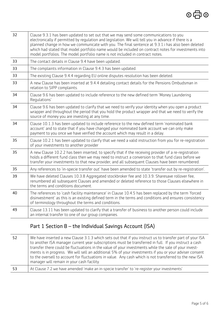| 32 | Clause 9.3.1 has been updated to set out that we may send some communications to you<br>electronically if permitted by regulation and legislation. We will tell you in advance if there is a<br>planned change in how we communicate with you. The final sentence at 9.3.1.i has also been deleted<br>which had stated that model portfolio name would be included on contract notes for investments into<br>model portfolios. The model portfolio name is not included in contract notes. |
|----|--------------------------------------------------------------------------------------------------------------------------------------------------------------------------------------------------------------------------------------------------------------------------------------------------------------------------------------------------------------------------------------------------------------------------------------------------------------------------------------------|
| 33 | The contact details in Clause 9.4 have been updated.                                                                                                                                                                                                                                                                                                                                                                                                                                       |
| 33 | The complaints information in Clause 9.4.3 has been updated.                                                                                                                                                                                                                                                                                                                                                                                                                               |
| 33 | The existing Clause 9.4.4 regarding EU online disputes resolution has been deleted.                                                                                                                                                                                                                                                                                                                                                                                                        |
| 33 | A new Clause has been inserted at 9.4.4 detailing contact details for the Pensions Ombudsman in<br>relation to SIPP complaints.                                                                                                                                                                                                                                                                                                                                                            |
| 34 | Clause 9.6 has been updated to include reference to the new defined term 'Money Laundering<br>Regulations'                                                                                                                                                                                                                                                                                                                                                                                 |
| 34 | Clause 9.6 has been updated to clarify that we need to verify your identity when you open a product<br>wrapper and throughout the period that you hold the product wrapper and that we need to verify the<br>source of money you are investing at any time.                                                                                                                                                                                                                                |
| 34 | Clause 10.1.3 has been updated to include reference to the new defined term 'nominated bank<br>account' and to state that if you have changed your nominated bank account we can only make<br>payment to you once we have verified the account which may result in a delay.                                                                                                                                                                                                                |
| 35 | Clause 10.2.1 has been updated to clarify that we need a valid instruction from you for re-registration<br>of your investments to another provider                                                                                                                                                                                                                                                                                                                                         |
| 35 | A new Clause 10.2.2 has been inserted, to specify that if the receiving provider of a re-registration<br>holds a different fund class then we may need to instruct a conversion to that fund class before we<br>transfer your investments to that new provider, and all subsequent Clauses have been renumbered.                                                                                                                                                                           |
| 35 | Any references to 'in-specie transfer out' have been amended to state 'transfer out by re-registration'.                                                                                                                                                                                                                                                                                                                                                                                   |
| 39 | We have deleted Clauses 10.3.8 Aggregated stockbroker fee and 10.3.9. Sharesave rollover fee,<br>renumbered all subsequent Clauses and amended or deleted reference to those Clauses elsewhere in<br>the terms and conditions document.                                                                                                                                                                                                                                                    |
| 40 | The references to 'cash facility maintenance' in Clause 10.4.5 has been replaced by the term 'forced<br>disinvestment' as this is an existing defined term in the terms and conditions and ensures consistency<br>of terminology throughout the terms and conditions.                                                                                                                                                                                                                      |
| 49 | Clause 13.11 has been updated to clarify that a transfer of business to another person could include<br>an internal transfer to one of our group companies.                                                                                                                                                                                                                                                                                                                                |
|    |                                                                                                                                                                                                                                                                                                                                                                                                                                                                                            |

# Part 1 Section B – the Individual Savings Account (ISA)

| 52 | We have inserted a new Clause 3.1.3 which sets out that if you instruct us to transfer part of your ISA<br>to another ISA manager current year subscriptions must be transferred in full. If you instruct a cash<br>transfer there could be fluctuations in the value of your investments while the sale of your invest-<br>ments is in progress. We will sell an additional 5% of your investments if you or your adviser consent<br>to the oversell to account for fluctuations in value. Any cash which is not transferred to the new ISA<br>manager will remain in your cash facility. |
|----|--------------------------------------------------------------------------------------------------------------------------------------------------------------------------------------------------------------------------------------------------------------------------------------------------------------------------------------------------------------------------------------------------------------------------------------------------------------------------------------------------------------------------------------------------------------------------------------------|
| 53 | At Clause 7.2 we have amended 'make an in-specie transfer' to 're-register your investments'                                                                                                                                                                                                                                                                                                                                                                                                                                                                                               |